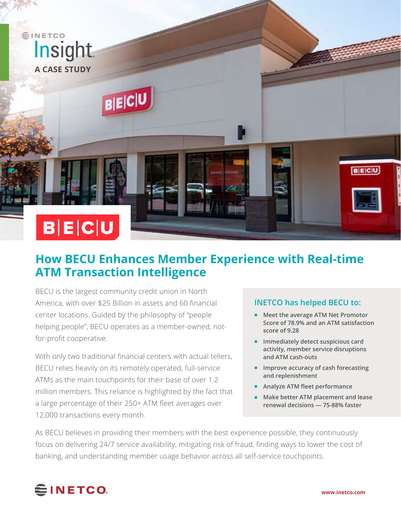

## **How BECU Enhances Member Experience with Real-time ATM Transaction Intelligence**

BECU is the largest community credit union in North America, with over \$25 Billion in assets and 60 financial center locations. Guided by the philosophy of "people helping people", BECU operates as a member-owned, notfor-profit cooperative.

With only two traditional financial centers with actual tellers, BECU relies heavily on its remotely operated, full-service ATMs as the main touchpoints for their base of over 1.2 million members. This reliance is highlighted by the fact that a large percentage of their 250+ ATM fleet averages over 12,000 transactions every month.

## **INETCO has helped BECU to:**

- **Meet the average ATM Net Promotor Score of 78.9% and an ATM satisfaction score of 9.28**
- **Immediately detect suspicious card activity, member service disruptions and ATM cash-outs**
- **Improve accuracy of cash forecasting and replenishment**
- **Analyze ATM fleet performance**
- **Make better ATM placement and lease renewal decisions — 75-88% faster**

As BECU believes in providing their members with the best experience possible, they continuously focus on delivering 24/7 service availability, mitigating risk of fraud, finding ways to lower the cost of banking, and understanding member usage behavior across all self-service touchpoints.

# **∈INETCO**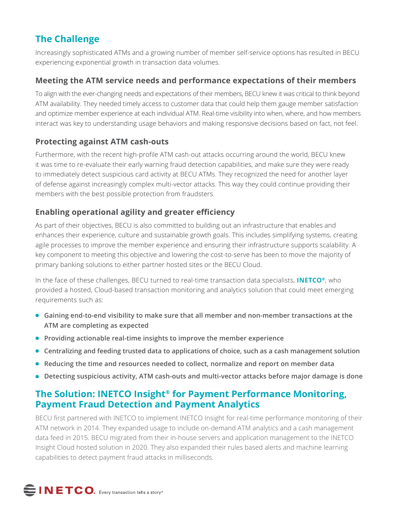## **The Challenge**

Increasingly sophisticated ATMs and a growing number of member self-service options has resulted in BECU experiencing exponential growth in transaction data volumes.

## **Meeting the ATM service needs and performance expectations of their members**

To align with the ever-changing needs and expectations of their members, BECU knew it was critical to think beyond ATM availability. They needed timely access to customer data that could help them gauge member satisfaction and optimize member experience at each individual ATM. Real-time visibility into when, where, and how members interact was key to understanding usage behaviors and making responsive decisions based on fact, not feel.

## **Protecting against ATM cash-outs**

Furthermore, with the recent high-profile ATM cash-out attacks occurring around the world, BECU knew it was time to re-evaluate their early warning fraud detection capabilities, and make sure they were ready to immediately detect suspicious card activity at BECU ATMs. They recognized the need for another layer of defense against increasingly complex multi-vector attacks. This way they could continue providing their members with the best possible protection from fraudsters.

## **Enabling operational agility and greater efficiency**

As part of their objectives, BECU is also committed to building out an infrastructure that enables and enhances their experience, culture and sustainable growth goals. This includes simplifying systems, creating agile processes to improve the member experience and ensuring their infrastructure supports scalability. A key component to meeting this objective and lowering the cost-to-serve has been to move the majority of primary banking solutions to either partner hosted sites or the BECU Cloud.

In the face of these challenges, BECU turned to real-time transaction data specialists, **[INETCO®](https://www.inetco.com)**, who provided a hosted, Cloud-based transaction monitoring and analytics solution that could meet emerging requirements such as:

- **Gaining end-to-end visibility to make sure that all member and non-member transactions at the ATM are completing as expected**
- **Providing actionable real-time insights to improve the member experience**
- **Centralizing and feeding trusted data to applications of choice, such as a cash management solution**
- **Reducing the time and resources needed to collect, normalize and report on member data**
- **Detecting suspicious activity, ATM cash-outs and multi-vector attacks before major damage is done**

## **The Solution: [INETCO Insight® for Payment Performance Monitoring,](https://www.inetco.com/products-and-services/inetco-insight-for-payment-monitoring/) [Payment Fraud Detection](https://www.inetco.com/products-and-services/inetco-insight-payment-fraud-detection/) and [Payment Analytics](https://www.inetco.com/products-and-services/inetco-insight-for-payment-analytics/)**

BECU first partnered with INETCO to implement INETCO Insight for real-time performance monitoring of their ATM network in 2014. They expanded usage to include on-demand ATM analytics and a cash management data feed in 2015. BECU migrated from their in-house servers and application management to the INETCO Insight Cloud hosted solution in 2020. They also expanded their rules based alerts and machine learning capabilities to detect payment fraud attacks in milliseconds.

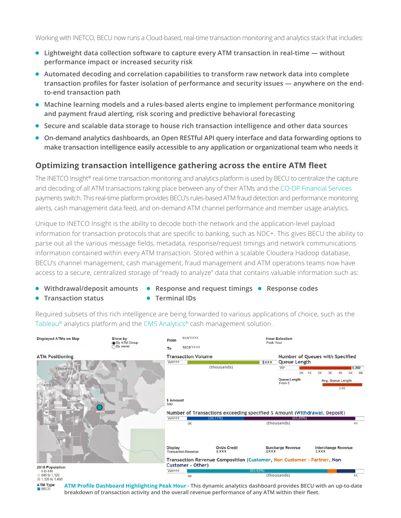- **Lightweight data collection software to capture every ATM transaction in real-time without performance impact or increased security risk**
- **Automated decoding and correlation capabilities to transform raw network data into complete transaction profiles for faster isolation of performance and security issues — anywhere on the endto-end transaction path**
- **Machine learning models and a rules-based alerts engine to implement performance monitoring and payment fraud alerting, risk scoring and predictive behavioral forecasting**
- **Secure and scalable data storage to house rich transaction intelligence and other data sources**
- **On-demand analytics dashboards, an Open RESTful API query interface and data forwarding options to make transaction intelligence easily accessible to any application or organizational team who needs it**

## **Optimizing transaction intelligence gathering across the entire ATM fleet**

The INETCO Insight<sup>®</sup> real-time transaction monitoring and analytics platform is used by BECU to centralize the capture and decoding of all ATM transactions taking place between any of their ATMs and the [CO-OP Financial Services](https://www.co-opfs.org/) payments switch. This real-time platform provides BECU's rules-based ATM fraud detection and performance monitoring alerts, cash management data feed, and on-demand ATM channel performance and member usage analytics.

Unique to INETCO Insight is the ability to decode both the network and the application-level payload information for transaction protocols that are specific to banking, such as NDC+. This gives BECU the ability to parse out all the various message fields, metadata, response/request timings and network communications information contained within every ATM transaction. Stored within a scalable Cloudera Hadoop database, BECU's channel management, cash management, fraud management and ATM operations teams now have access to a secure, centralized storage of "ready to analyze" data that contains valuable information such as:

- Withdrawal/deposit amounts Response and request timings Response codes
- **Transaction status**
- **Terminal IDs**

Required subsets of this rich intelligence are being forwarded to various applications of choice, such as the [Tableau®](https://www.tableau.com/) analytics platform and the [CMS Analytics](https://www.cmsanalytics.com/us/)® cash management solution.



**ATM Profile Dashboard Highlighting Peak Hour - This dynamic analytics dashboard provides BECU with an up-to-date breakdown of transaction activity and the overall revenue performance of any ATM within their fleet.**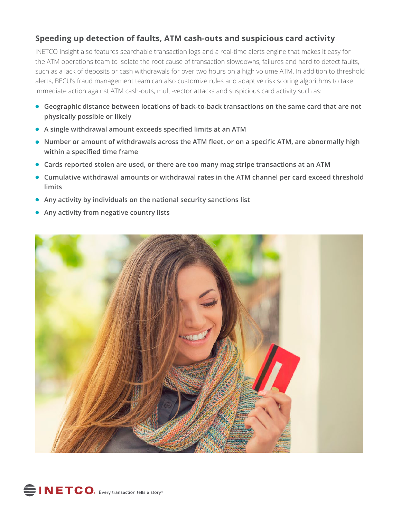## **Speeding up detection of faults, ATM cash-outs and suspicious card activity**

INETCO Insight also features searchable transaction logs and a real-time alerts engine that makes it easy for the ATM operations team to isolate the root cause of transaction slowdowns, failures and hard to detect faults, such as a lack of deposits or cash withdrawals for over two hours on a high volume ATM. In addition to threshold alerts, BECU's fraud management team can also customize rules and adaptive risk scoring algorithms to take immediate action against ATM cash-outs, multi-vector attacks and suspicious card activity such as:

- **Geographic distance between locations of back-to-back transactions on the same card that are not physically possible or likely**
- **A single withdrawal amount exceeds specified limits at an ATM**
- **Number or amount of withdrawals across the ATM fleet, or on a specific ATM, are abnormally high within a specified time frame**
- **Cards reported stolen are used, or there are too many mag stripe transactions at an ATM**
- **Cumulative withdrawal amounts or withdrawal rates in the ATM channel per card exceed threshold limits**
- **Any activity by individuals on the national security sanctions list**
- **Any activity from negative country lists**



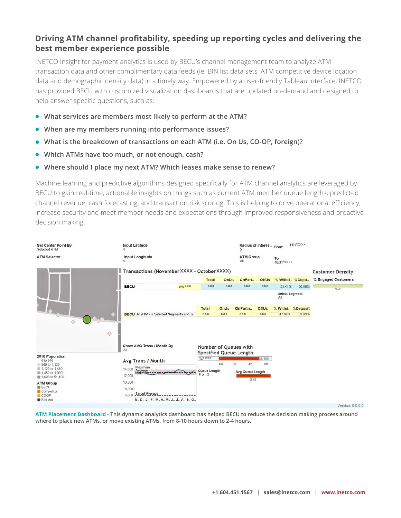#### **Driving ATM channel profitability, speeding up reporting cycles and delivering the best member experience possible**

INETCO Insight for payment analytics is used by BECU's channel management team to analyze ATM transaction data and other complimentary data feeds (ie: BIN list data sets, ATM competitive device location data and demographic density data) in a timely way. Empowered by a user-friendly Tableau interface, INETCO has provided BECU with customized visualization dashboards that are updated on-demand and designed to help answer specific questions, such as:

- **What services are members most likely to perform at the ATM?**
- When are my members running into performance issues?
- What is the breakdown of transactions on each ATM (i.e. On Us, CO-OP, foreign)?
- Which ATMs have too much, or not enough, cash?
- Where should I place my next ATM? Which leases make sense to renew?

Machine learning and predictive algorithms designed specifically for ATM channel analytics are leveraged by BECU to gain real-time, actionable insights on things such as current ATM member queue lengths, predicted channel revenue, cash forecasting, and transaction risk scoring. This is helping to drive operational efficiency, increase security and meet member needs and expectations through improved responsiveness and proactive decision making.



**ATM Placement Dashboard - This dynamic analytics dashboard has helped BECU to reduce the decision making process around where to place new ATMs, or move existing ATMs, from 8-10 hours down to 2-4 hours.**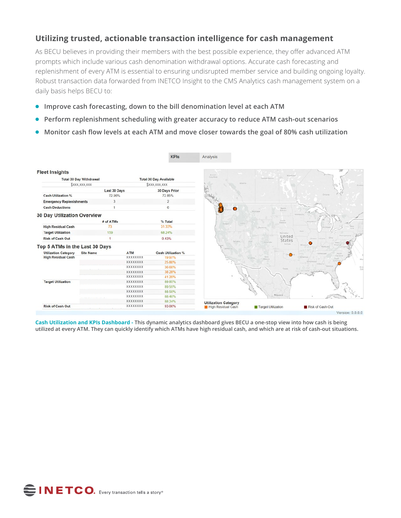#### **Utilizing trusted, actionable transaction intelligence for cash management**

As BECU believes in providing their members with the best possible experience, they offer advanced ATM prompts which include various cash denomination withdrawal options. Accurate cash forecasting and replenishment of every ATM is essential to ensuring undisrupted member service and building ongoing loyalty. Robust transaction data forwarded from INETCO Insight to the CMS Analytics cash management system on a daily basis helps BECU to:

- **Improve cash forecasting, down to the bill denomination level at each ATM**
- **Perform replenishment scheduling with greater accuracy to reduce ATM cash-out scenarios**
- **Monitor cash flow levels at each ATM and move closer towards the goal of 80% cash utilization**

|                                    |                                                                 |                 | <b>KPIs</b>                  | Analysis                    |                              |                      |
|------------------------------------|-----------------------------------------------------------------|-----------------|------------------------------|-----------------------------|------------------------------|----------------------|
| <b>Fleet Insights</b>              |                                                                 |                 |                              | British<br>Columbia         | Manitoba                     |                      |
|                                    | <b>Total 30 Day Withdrawal</b><br><b>Total 30 Day Available</b> |                 |                              |                             | Salkatchewan                 |                      |
|                                    | \$xxx, xxx, xxx                                                 |                 | <b><i>SXXX, XXX, XXX</i></b> | Amerta.                     |                              |                      |
|                                    | Last 30 Days                                                    |                 | 30 Days Prior                |                             |                              |                      |
| <b>Cash Utilization %</b>          | 72.96%                                                          |                 | 72.85%                       |                             |                              | Ontario              |
| <b>Emergency Replenishments</b>    | 3                                                               |                 | $\overline{2}$               |                             |                              |                      |
| <b>Cash Deductions</b>             |                                                                 |                 | $^{\rm 6}$                   | $\bullet$                   | North<br>Dakota              |                      |
| <b>30 Day Utilization Overview</b> |                                                                 |                 |                              |                             | Montana                      | Minimista            |
|                                    | # of ATMs                                                       |                 | % Total                      |                             | South<br><b>Dakota</b>       |                      |
| <b>High Residual Cash</b>          | 73                                                              |                 | 31.33%                       | Orego                       | Wyoming                      |                      |
| <b>Target Utilization</b>          | 159                                                             |                 | 68.24%                       |                             | Nebraska                     | Mova.                |
| <b>Risk of Cash Out</b>            |                                                                 |                 | 0.43%                        |                             | United                       | Indiana<br>Hinors.   |
| Top 5 ATMs in the Last 30 Days     |                                                                 |                 |                              | <b>Novada</b>               | States<br>Colorado<br>Kamas. | Contacto             |
| <b>Utilization Category</b>        | <b>Site Name</b>                                                | ATM             | <b>Cash Utilization %</b>    | California                  |                              |                      |
| <b>High Residual Cash</b>          |                                                                 | XXXXXXXX        | 19.97%                       |                             | $\bullet$<br>New             | fennessee<br>Arkaman |
|                                    |                                                                 | <b>XXXXXXXX</b> | 25.80%                       |                             | Mexico.                      |                      |
|                                    |                                                                 | XXXXXXXX        | 36.60%                       |                             |                              | Gebrau               |
|                                    |                                                                 | XXXXXXXX        | 38.28%                       |                             | Texas                        |                      |
|                                    |                                                                 | <b>XXXXXXXX</b> | 41.20%                       |                             |                              |                      |
| <b>Target Utilization</b>          |                                                                 | <b>XXXXXXXX</b> | 89.85%                       |                             |                              |                      |
|                                    |                                                                 | XXXXXXXX        | 89.55%                       |                             |                              |                      |
|                                    |                                                                 | XXXXXXXX        | 88.50%                       |                             |                              |                      |
|                                    |                                                                 | <b>XXXXXXXX</b> | 88.40%                       |                             | Mexico                       |                      |
|                                    |                                                                 | XXXXXXXX        | 88.24%                       | <b>Utilization Category</b> |                              |                      |
| <b>Risk of Cash Out</b>            |                                                                 | XXXXXXXX        | 93.00%                       | High Residual Cash          | Target Utilization           | Risk of Cash Out     |
|                                    |                                                                 |                 |                              |                             |                              |                      |

**Cash Utilization and KPIs Dashboard - This dynamic analytics dashboard gives BECU a one-stop view into how cash is being utilized at every ATM. They can quickly identify which ATMs have high residual cash, and which are at risk of cash-out situations.**